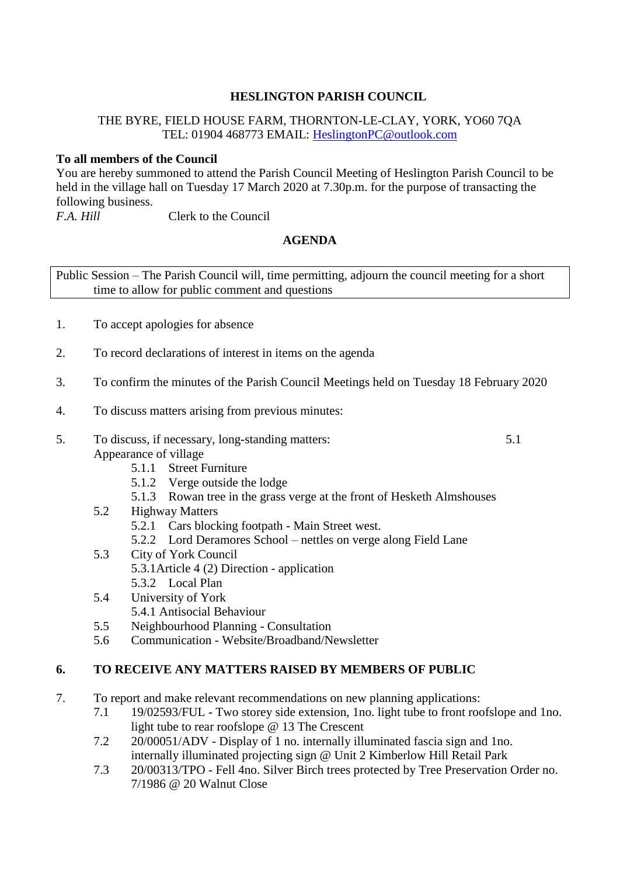## **HESLINGTON PARISH COUNCIL**

## THE BYRE, FIELD HOUSE FARM, THORNTON-LE-CLAY, YORK, YO60 7QA TEL: 01904 468773 EMAIL: [HeslingtonPC@outlook.com](mailto:HeslingtonPC@outlook.com)

# **To all members of the Council**

You are hereby summoned to attend the Parish Council Meeting of Heslington Parish Council to be held in the village hall on Tuesday 17 March 2020 at 7.30p.m. for the purpose of transacting the following business.<br>F.A. Hill

**Fig. 1.4. Fig. 1.4. For Council** 

# **AGENDA**

Public Session – The Parish Council will, time permitting, adjourn the council meeting for a short time to allow for public comment and questions

- 1. To accept apologies for absence
- 2. To record declarations of interest in items on the agenda
- 3. To confirm the minutes of the Parish Council Meetings held on Tuesday 18 February 2020
- 4. To discuss matters arising from previous minutes:
- 5. To discuss, if necessary, long-standing matters: 5.1 Appearance of village

- 5.1.1 Street Furniture
- 5.1.2 Verge outside the lodge
- 5.1.3 Rowan tree in the grass verge at the front of Hesketh Almshouses
- 5.2 Highway Matters
	- 5.2.1 Cars blocking footpath Main Street west.
	- 5.2.2 Lord Deramores School nettles on verge along Field Lane
- 5.3 City of York Council 5.3.1Article 4 (2) Direction - application 5.3.2 Local Plan
- 5.4 University of York
	- 5.4.1 Antisocial Behaviour
- 5.5 Neighbourhood Planning Consultation
- 5.6 Communication Website/Broadband/Newsletter

# **6. TO RECEIVE ANY MATTERS RAISED BY MEMBERS OF PUBLIC**

- 7. To report and make relevant recommendations on new planning applications:
	- 7.1 19/02593/FUL Two storey side extension, 1no. light tube to front roofslope and 1no. light tube to rear roofslope @ 13 The Crescent
	- 7.2 20/00051/ADV Display of 1 no. internally illuminated fascia sign and 1no. internally illuminated projecting sign @ Unit 2 Kimberlow Hill Retail Park
	- 7.3 20/00313/TPO Fell 4no. Silver Birch trees protected by Tree Preservation Order no. 7/1986 @ 20 Walnut Close